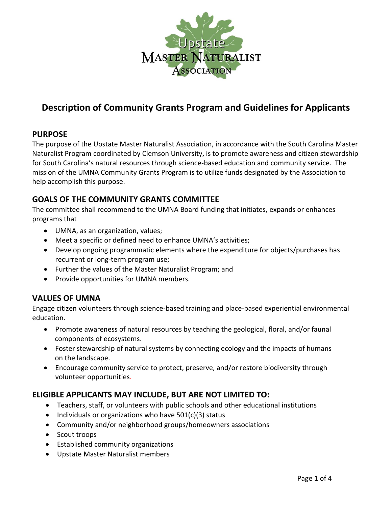

# **Description of Community Grants Program and Guidelines for Applicants**

# **PURPOSE**

The purpose of the Upstate Master Naturalist Association, in accordance with the South Carolina Master Naturalist Program coordinated by Clemson University, is to promote awareness and citizen stewardship for South Carolina's natural resources through science-based education and community service. The mission of the UMNA Community Grants Program is to utilize funds designated by the Association to help accomplish this purpose.

# **GOALS OF THE COMMUNITY GRANTS COMMITTEE**

The committee shall recommend to the UMNA Board funding that initiates, expands or enhances programs that

- UMNA, as an organization, values;
- Meet a specific or defined need to enhance UMNA's activities;
- Develop ongoing programmatic elements where the expenditure for objects/purchases has recurrent or long-term program use;
- Further the values of the Master Naturalist Program; and
- Provide opportunities for UMNA members.

# **VALUES OF UMNA**

Engage citizen volunteers through science-based training and place-based experiential environmental education.

- Promote awareness of natural resources by teaching the geological, floral, and/or faunal components of ecosystems.
- Foster stewardship of natural systems by connecting ecology and the impacts of humans on the landscape.
- Encourage community service to protect, preserve, and/or restore biodiversity through volunteer opportunities.

# **ELIGIBLE APPLICANTS MAY INCLUDE, BUT ARE NOT LIMITED TO:**

- Teachers, staff, or volunteers with public schools and other educational institutions
- Individuals or organizations who have 501(c)(3) status
- Community and/or neighborhood groups/homeowners associations
- Scout troops
- Established community organizations
- Upstate Master Naturalist members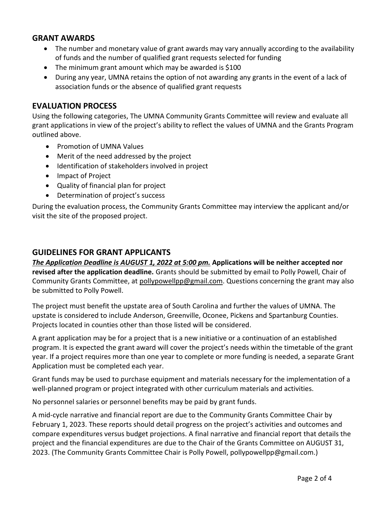# **GRANT AWARDS**

- The number and monetary value of grant awards may vary annually according to the availability of funds and the number of qualified grant requests selected for funding
- The minimum grant amount which may be awarded is \$100
- During any year, UMNA retains the option of not awarding any grants in the event of a lack of association funds or the absence of qualified grant requests

### **EVALUATION PROCESS**

Using the following categories, The UMNA Community Grants Committee will review and evaluate all grant applications in view of the project's ability to reflect the values of UMNA and the Grants Program outlined above.

- Promotion of UMNA Values
- Merit of the need addressed by the project
- Identification of stakeholders involved in project
- Impact of Project
- Quality of financial plan for project
- Determination of project's success

During the evaluation process, the Community Grants Committee may interview the applicant and/or visit the site of the proposed project.

# **GUIDELINES FOR GRANT APPLICANTS**

*The Application Deadline is AUGUST 1, 2022 at 5:00 pm.* **Applications will be neither accepted nor revised after the application deadline.** Grants should be submitted by email to Polly Powell, Chair of Community Grants Committee, at [pollypowellpp@gmail.com.](about:blank) Questions concerning the grant may also be submitted to Polly Powell.

The project must benefit the upstate area of South Carolina and further the values of UMNA. The upstate is considered to include Anderson, Greenville, Oconee, Pickens and Spartanburg Counties. Projects located in counties other than those listed will be considered.

A grant application may be for a project that is a new initiative or a continuation of an established program. It is expected the grant award will cover the project's needs within the timetable of the grant year. If a project requires more than one year to complete or more funding is needed, a separate Grant Application must be completed each year.

Grant funds may be used to purchase equipment and materials necessary for the implementation of a well-planned program or project integrated with other curriculum materials and activities.

No personnel salaries or personnel benefits may be paid by grant funds.

A mid-cycle narrative and financial report are due to the Community Grants Committee Chair by February 1, 2023. These reports should detail progress on the project's activities and outcomes and compare expenditures versus budget projections. A final narrative and financial report that details the project and the financial expenditures are due to the Chair of the Grants Committee on AUGUST 31, 2023. (The Community Grants Committee Chair is Polly Powell, pollypowellpp@gmail.com.)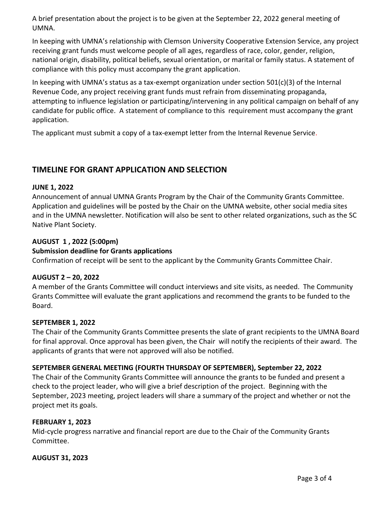A brief presentation about the project is to be given at the September 22, 2022 general meeting of UMNA.

In keeping with UMNA's relationship with Clemson University Cooperative Extension Service, any project receiving grant funds must welcome people of all ages, regardless of race, color, gender, religion, national origin, disability, political beliefs, sexual orientation, or marital or family status. A statement of compliance with this policy must accompany the grant application.

In keeping with UMNA's status as a tax-exempt organization under section  $501(c)(3)$  of the Internal Revenue Code, any project receiving grant funds must refrain from disseminating propaganda, attempting to influence legislation or participating/intervening in any political campaign on behalf of any candidate for public office. A statement of compliance to this requirement must accompany the grant application.

The applicant must submit a copy of a tax-exempt letter from the Internal Revenue Service.

# **TIMELINE FOR GRANT APPLICATION AND SELECTION**

#### **JUNE 1, 2022**

Announcement of annual UMNA Grants Program by the Chair of the Community Grants Committee. Application and guidelines will be posted by the Chair on the UMNA website, other social media sites and in the UMNA newsletter. Notification will also be sent to other related organizations, such as the SC Native Plant Society.

### **AUGUST 1 , 2022 (5:00pm)**

### **Submission deadline for Grants applications**

Confirmation of receipt will be sent to the applicant by the Community Grants Committee Chair.

#### **AUGUST 2 – 20, 2022**

A member of the Grants Committee will conduct interviews and site visits, as needed. The Community Grants Committee will evaluate the grant applications and recommend the grants to be funded to the Board.

#### **SEPTEMBER 1, 2022**

The Chair of the Community Grants Committee presents the slate of grant recipients to the UMNA Board for final approval. Once approval has been given, the Chair will notify the recipients of their award. The applicants of grants that were not approved will also be notified.

#### **SEPTEMBER GENERAL MEETING (FOURTH THURSDAY OF SEPTEMBER), September 22, 2022**

The Chair of the Community Grants Committee will announce the grants to be funded and present a check to the project leader, who will give a brief description of the project. Beginning with the September, 2023 meeting, project leaders will share a summary of the project and whether or not the project met its goals.

#### **FEBRUARY 1, 2023**

Mid-cycle progress narrative and financial report are due to the Chair of the Community Grants Committee.

#### **AUGUST 31, 2023**